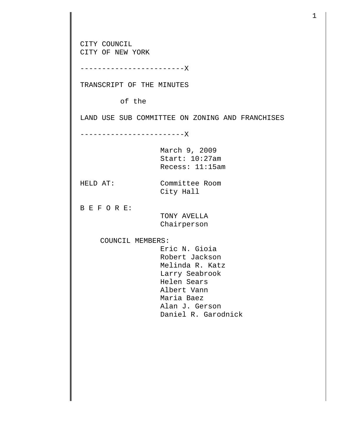CITY COUNCIL CITY OF NEW YORK ------------------------X TRANSCRIPT OF THE MINUTES of the LAND USE SUB COMMITTEE ON ZONING AND FRANCHISES ------------------------X March 9, 2009 Start: 10:27am Recess: 11:15am HELD AT: Committee Room City Hall B E F O R E: TONY AVELLA Chairperson COUNCIL MEMBERS: Eric N. Gioia Robert Jackson Melinda R. Katz Larry Seabrook Helen Sears Albert Vann Maria Baez Alan J. Gerson Daniel R. Garodnick

1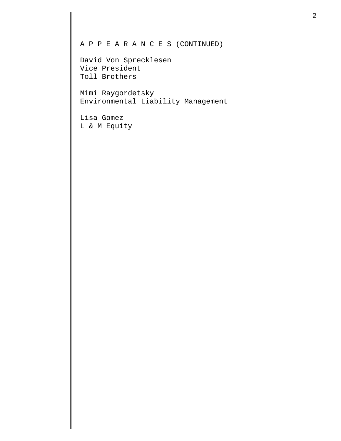## A P P E A R A N C E S (CONTINUED)

David Von Sprecklesen Vice President Toll Brothers

Mimi Raygordetsky Environmental Liability Management

Lisa Gomez L & M Equity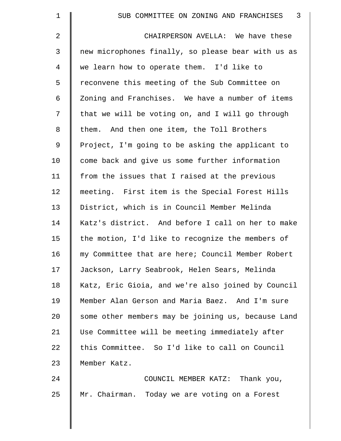| $\mathbf 1$ | $\overline{3}$<br>SUB COMMITTEE ON ZONING AND FRANCHISES |
|-------------|----------------------------------------------------------|
| 2           | CHAIRPERSON AVELLA: We have these                        |
| 3           | new microphones finally, so please bear with us as       |
| 4           | we learn how to operate them. I'd like to                |
| 5           | reconvene this meeting of the Sub Committee on           |
| 6           | Zoning and Franchises. We have a number of items         |
| 7           | that we will be voting on, and I will go through         |
| 8           | them. And then one item, the Toll Brothers               |
| $\mathsf 9$ | Project, I'm going to be asking the applicant to         |
| 10          | come back and give us some further information           |
| 11          | from the issues that I raised at the previous            |
| 12          | meeting. First item is the Special Forest Hills          |
| 13          | District, which is in Council Member Melinda             |
| 14          | Katz's district. And before I call on her to make        |
| 15          | the motion, I'd like to recognize the members of         |
| 16          | my Committee that are here; Council Member Robert        |
| 17          | Jackson, Larry Seabrook, Helen Sears, Melinda            |
| 18          | Katz, Eric Gioia, and we're also joined by Council       |
| 19          | Member Alan Gerson and Maria Baez. And I'm sure          |
| 20          | some other members may be joining us, because Land       |
| 21          | Use Committee will be meeting immediately after          |
| 22          | this Committee. So I'd like to call on Council           |
| 23          | Member Katz.                                             |
| 24          | COUNCIL MEMBER KATZ: Thank you,                          |
| 25          | Mr. Chairman. Today we are voting on a Forest            |

║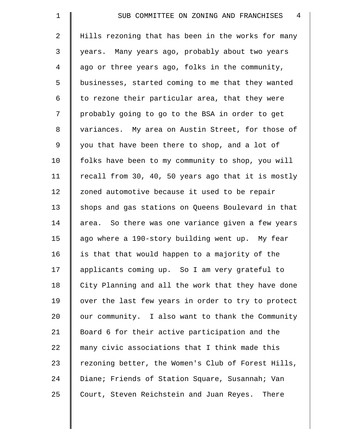| $\mathbf{1}$   | $\overline{4}$<br>SUB COMMITTEE ON ZONING AND FRANCHISES |
|----------------|----------------------------------------------------------|
| $\overline{2}$ | Hills rezoning that has been in the works for many       |
| $\mathfrak{Z}$ | years. Many years ago, probably about two years          |
| 4              | ago or three years ago, folks in the community,          |
| 5              | businesses, started coming to me that they wanted        |
| 6              | to rezone their particular area, that they were          |
| 7              | probably going to go to the BSA in order to get          |
| 8              | variances. My area on Austin Street, for those of        |
| $\mathsf 9$    | you that have been there to shop, and a lot of           |
| 10             | folks have been to my community to shop, you will        |
| 11             | recall from 30, 40, 50 years ago that it is mostly       |
| 12             | zoned automotive because it used to be repair            |
| 13             | shops and gas stations on Queens Boulevard in that       |
| 14             | area. So there was one variance given a few years        |
| 15             | ago where a 190-story building went up. My fear          |
| 16             | is that that would happen to a majority of the           |
| 17             | applicants coming up. So I am very grateful to           |
| 18             | City Planning and all the work that they have done       |
| 19             | over the last few years in order to try to protect       |
| 20             | our community. I also want to thank the Community        |
| 21             | Board 6 for their active participation and the           |
| 22             | many civic associations that I think made this           |
| 23             | rezoning better, the Women's Club of Forest Hills,       |
| 24             | Diane; Friends of Station Square, Susannah; Van          |
| 25             | Court, Steven Reichstein and Juan Reyes. There           |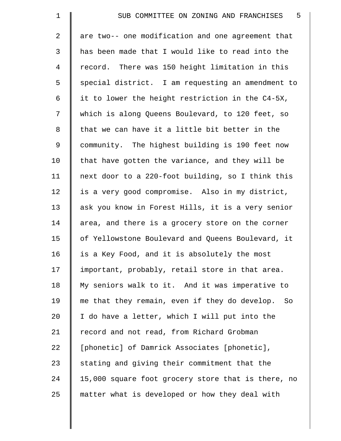| $\mathbf 1$    | $-5$<br>SUB COMMITTEE ON ZONING AND FRANCHISES      |
|----------------|-----------------------------------------------------|
| $\overline{2}$ | are two-- one modification and one agreement that   |
| $\mathfrak{Z}$ | has been made that I would like to read into the    |
| 4              | record. There was 150 height limitation in this     |
| 5              | special district. I am requesting an amendment to   |
| 6              | it to lower the height restriction in the C4-5X,    |
| 7              | which is along Queens Boulevard, to 120 feet, so    |
| 8              | that we can have it a little bit better in the      |
| $\mathsf 9$    | community. The highest building is 190 feet now     |
| 10             | that have gotten the variance, and they will be     |
| 11             | next door to a 220-foot building, so I think this   |
| 12             | is a very good compromise. Also in my district,     |
| 13             | ask you know in Forest Hills, it is a very senior   |
| 14             | area, and there is a grocery store on the corner    |
| 15             | of Yellowstone Boulevard and Queens Boulevard, it   |
| 16             | is a Key Food, and it is absolutely the most        |
| 17             | important, probably, retail store in that area.     |
| 18             | My seniors walk to it. And it was imperative to     |
| 19             | me that they remain, even if they do develop.<br>So |
| 20             | I do have a letter, which I will put into the       |
| 21             | record and not read, from Richard Grobman           |
| 22             | [phonetic] of Damrick Associates [phonetic],        |
| 23             | stating and giving their commitment that the        |
| 24             | 15,000 square foot grocery store that is there, no  |
| 25             | matter what is developed or how they deal with      |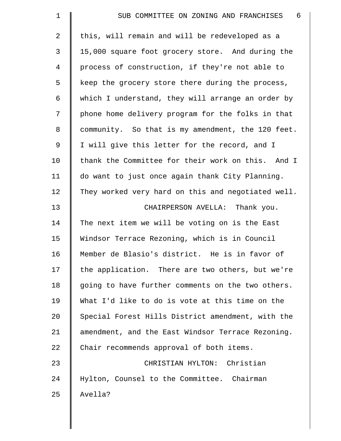| $\mathbf 1$    | -6<br>SUB COMMITTEE ON ZONING AND FRANCHISES       |
|----------------|----------------------------------------------------|
| $\overline{2}$ | this, will remain and will be redeveloped as a     |
| 3              | 15,000 square foot grocery store. And during the   |
| 4              | process of construction, if they're not able to    |
| 5              | keep the grocery store there during the process,   |
| 6              | which I understand, they will arrange an order by  |
| 7              | phone home delivery program for the folks in that  |
| 8              | community. So that is my amendment, the 120 feet.  |
| 9              | I will give this letter for the record, and I      |
| 10             | thank the Committee for their work on this. And I  |
| 11             | do want to just once again thank City Planning.    |
| 12             | They worked very hard on this and negotiated well. |
| 13             | CHAIRPERSON AVELLA: Thank you.                     |
| 14             | The next item we will be voting on is the East     |
| 15             | Windsor Terrace Rezoning, which is in Council      |
| 16             | Member de Blasio's district. He is in favor of     |
| 17             | the application. There are two others, but we're   |
| 18             | going to have further comments on the two others.  |
| 19             | What I'd like to do is vote at this time on the    |
| 20             | Special Forest Hills District amendment, with the  |
| 21             | amendment, and the East Windsor Terrace Rezoning.  |
| 22             | Chair recommends approval of both items.           |
| 23             | CHRISTIAN HYLTON: Christian                        |
| 24             | Hylton, Counsel to the Committee. Chairman         |
| 25             | Avella?                                            |
|                |                                                    |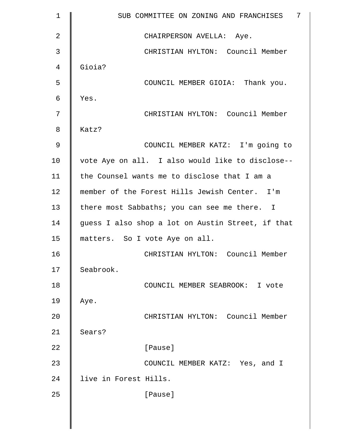| $\mathbf 1$ | SUB COMMITTEE ON ZONING AND FRANCHISES<br>7       |
|-------------|---------------------------------------------------|
| 2           | CHAIRPERSON AVELLA: Aye.                          |
| 3           | CHRISTIAN HYLTON: Council Member                  |
| 4           | Gioia?                                            |
| 5           | COUNCIL MEMBER GIOIA: Thank you.                  |
| 6           | Yes.                                              |
| 7           | CHRISTIAN HYLTON: Council Member                  |
| 8           | Katz?                                             |
| 9           | COUNCIL MEMBER KATZ: I'm going to                 |
| 10          | vote Aye on all. I also would like to disclose--  |
| 11          | the Counsel wants me to disclose that I am a      |
| 12          | member of the Forest Hills Jewish Center. I'm     |
| 13          | there most Sabbaths; you can see me there. I      |
| 14          | guess I also shop a lot on Austin Street, if that |
| 15          | matters. So I vote Aye on all.                    |
| 16          | CHRISTIAN HYLTON: Council Member                  |
| 17          | Seabrook.                                         |
| 18          | COUNCIL MEMBER SEABROOK: I vote                   |
| 19          | Aye.                                              |
| 20          | CHRISTIAN HYLTON: Council Member                  |
| 21          | Sears?                                            |
| 22          | [Pause]                                           |
| 23          | COUNCIL MEMBER KATZ: Yes, and I                   |
| 24          | live in Forest Hills.                             |
| 25          | [Pause]                                           |
|             |                                                   |

 $\parallel$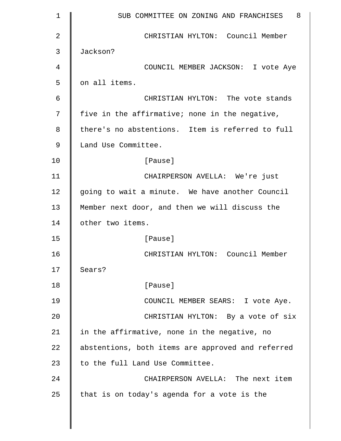| $\mathbf 1$ | SUB COMMITTEE ON ZONING AND FRANCHISES 8          |
|-------------|---------------------------------------------------|
| 2           | CHRISTIAN HYLTON: Council Member                  |
| 3           | Jackson?                                          |
| 4           | COUNCIL MEMBER JACKSON: I vote Aye                |
| 5           | on all items.                                     |
| 6           | CHRISTIAN HYLTON: The vote stands                 |
| 7           | five in the affirmative; none in the negative,    |
| 8           | there's no abstentions. Item is referred to full  |
| 9           | Land Use Committee.                               |
| 10          | [Pause]                                           |
| 11          | CHAIRPERSON AVELLA: We're just                    |
| 12          | going to wait a minute. We have another Council   |
| 13          | Member next door, and then we will discuss the    |
| 14          | other two items.                                  |
| 15          | [Pause]                                           |
| 16          | CHRISTIAN HYLTON: Council Member                  |
| 17          | Sears?                                            |
| 18          | [Pause]                                           |
| 19          | COUNCIL MEMBER SEARS: I vote Aye.                 |
| 20          | CHRISTIAN HYLTON: By a vote of six                |
| 21          | in the affirmative, none in the negative, no      |
| 22          | abstentions, both items are approved and referred |
| 23          | to the full Land Use Committee.                   |
| 24          | CHAIRPERSON AVELLA: The next item                 |
| 25          | that is on today's agenda for a vote is the       |
|             |                                                   |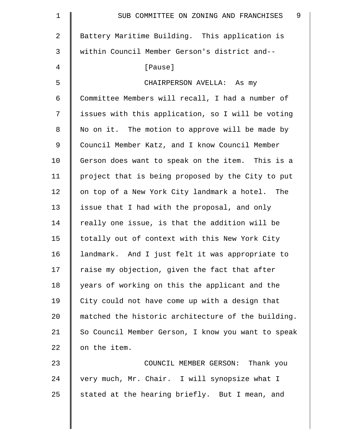| 1              | 9<br>SUB COMMITTEE ON ZONING AND FRANCHISES        |
|----------------|----------------------------------------------------|
| $\overline{2}$ | Battery Maritime Building. This application is     |
| 3              | within Council Member Gerson's district and--      |
| 4              | [Pause]                                            |
| 5              | CHAIRPERSON AVELLA: As my                          |
| 6              | Committee Members will recall, I had a number of   |
| 7              | issues with this application, so I will be voting  |
| 8              | No on it. The motion to approve will be made by    |
| 9              | Council Member Katz, and I know Council Member     |
| 10             | Gerson does want to speak on the item. This is a   |
| 11             | project that is being proposed by the City to put  |
| 12             | on top of a New York City landmark a hotel. The    |
| 13             | issue that I had with the proposal, and only       |
| 14             | really one issue, is that the addition will be     |
| 15             | totally out of context with this New York City     |
| 16             | landmark. And I just felt it was appropriate to    |
| 17             | raise my objection, given the fact that after      |
| 18             | years of working on this the applicant and the     |
| 19             | City could not have come up with a design that     |
| 20             | matched the historic architecture of the building. |
| 21             | So Council Member Gerson, I know you want to speak |
| 22             | on the item.                                       |
| 23             | COUNCIL MEMBER GERSON: Thank you                   |
| 24             | very much, Mr. Chair. I will synopsize what I      |
| 25             | stated at the hearing briefly. But I mean, and     |
|                |                                                    |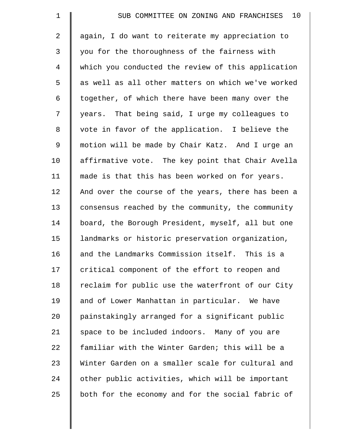| $\mathbf 1$    | 10<br>SUB COMMITTEE ON ZONING AND FRANCHISES       |
|----------------|----------------------------------------------------|
| $\overline{a}$ | again, I do want to reiterate my appreciation to   |
| 3              | you for the thoroughness of the fairness with      |
| 4              | which you conducted the review of this application |
| 5              | as well as all other matters on which we've worked |
| 6              | together, of which there have been many over the   |
| 7              | years. That being said, I urge my colleagues to    |
| 8              | vote in favor of the application. I believe the    |
| $\mathsf 9$    | motion will be made by Chair Katz. And I urge an   |
| 10             | affirmative vote. The key point that Chair Avella  |
| 11             | made is that this has been worked on for years.    |
| 12             | And over the course of the years, there has been a |
| 13             | consensus reached by the community, the community  |
| 14             | board, the Borough President, myself, all but one  |
| 15             | landmarks or historic preservation organization,   |
| 16             | and the Landmarks Commission itself. This is a     |
| 17             | critical component of the effort to reopen and     |
| 18             | reclaim for public use the waterfront of our City  |
| 19             | and of Lower Manhattan in particular. We have      |
| 20             | painstakingly arranged for a significant public    |
| 21             | space to be included indoors. Many of you are      |
| 22             | familiar with the Winter Garden; this will be a    |
| 23             | Winter Garden on a smaller scale for cultural and  |
| 24             | other public activities, which will be important   |
| 25             | both for the economy and for the social fabric of  |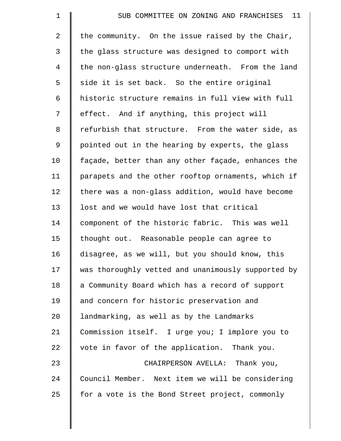| $\mathbf 1$ | SUB COMMITTEE ON ZONING AND FRANCHISES 11          |
|-------------|----------------------------------------------------|
| 2           | the community. On the issue raised by the Chair,   |
| 3           | the glass structure was designed to comport with   |
| 4           | the non-glass structure underneath. From the land  |
| 5           | side it is set back. So the entire original        |
| 6           | historic structure remains in full view with full  |
| 7           | effect. And if anything, this project will         |
| 8           | refurbish that structure. From the water side, as  |
| 9           | pointed out in the hearing by experts, the glass   |
| 10          | façade, better than any other façade, enhances the |
| 11          | parapets and the other rooftop ornaments, which if |
| 12          | there was a non-glass addition, would have become  |
| 13          | lost and we would have lost that critical          |
| 14          | component of the historic fabric. This was well    |
| 15          | thought out. Reasonable people can agree to        |
| 16          | disagree, as we will, but you should know, this    |
| 17          | was thoroughly vetted and unanimously supported by |
| 18          | a Community Board which has a record of support    |
| 19          | and concern for historic preservation and          |
| 20          | landmarking, as well as by the Landmarks           |
| 21          | Commission itself. I urge you; I implore you to    |
| 22          | vote in favor of the application. Thank you.       |
| 23          | CHAIRPERSON AVELLA: Thank you,                     |
| 24          | Council Member. Next item we will be considering   |
| 25          | for a vote is the Bond Street project, commonly    |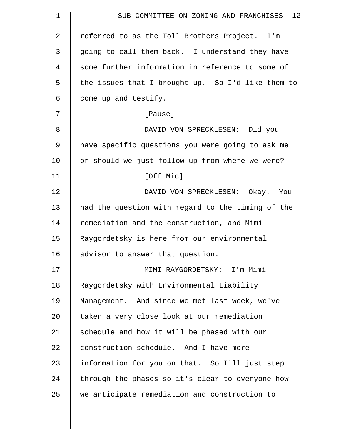| $\mathbf 1$ | SUB COMMITTEE ON ZONING AND FRANCHISES 12         |
|-------------|---------------------------------------------------|
| 2           | referred to as the Toll Brothers Project. I'm     |
| 3           | going to call them back. I understand they have   |
| 4           | some further information in reference to some of  |
| 5           | the issues that I brought up. So I'd like them to |
| 6           | come up and testify.                              |
| 7           | [Pause]                                           |
| 8           | DAVID VON SPRECKLESEN: Did you                    |
| $\mathsf 9$ | have specific questions you were going to ask me  |
| 10          | or should we just follow up from where we were?   |
| 11          | [Off Mic]                                         |
| 12          | DAVID VON SPRECKLESEN: Okay. You                  |
| 13          | had the question with regard to the timing of the |
| 14          | remediation and the construction, and Mimi        |
| 15          | Raygordetsky is here from our environmental       |
| 16          | advisor to answer that question.                  |
| 17          | MIMI RAYGORDETSKY: I'm Mimi                       |
| 18          | Raygordetsky with Environmental Liability         |
| 19          | Management. And since we met last week, we've     |
| 20          | taken a very close look at our remediation        |
| 21          | schedule and how it will be phased with our       |
| 22          | construction schedule. And I have more            |
| 23          | information for you on that. So I'll just step    |
| 24          | through the phases so it's clear to everyone how  |
| 25          | we anticipate remediation and construction to     |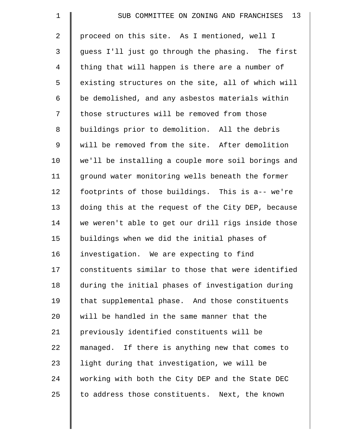| $\mathbf 1$    | 13<br>SUB COMMITTEE ON ZONING AND FRANCHISES       |
|----------------|----------------------------------------------------|
| $\mathbf{2}$   | proceed on this site. As I mentioned, well I       |
| 3              | guess I'll just go through the phasing. The first  |
| $\overline{4}$ | thing that will happen is there are a number of    |
| 5              | existing structures on the site, all of which will |
| 6              | be demolished, and any asbestos materials within   |
| 7              | those structures will be removed from those        |
| 8              | buildings prior to demolition. All the debris      |
| $\mathsf 9$    | will be removed from the site. After demolition    |
| 10             | we'll be installing a couple more soil borings and |
| 11             | ground water monitoring wells beneath the former   |
| 12             | footprints of those buildings. This is a-- we're   |
| 13             | doing this at the request of the City DEP, because |
| 14             | we weren't able to get our drill rigs inside those |
| 15             | buildings when we did the initial phases of        |
| 16             | investigation. We are expecting to find            |
| 17             | constituents similar to those that were identified |
| 18             | during the initial phases of investigation during  |
| 19             | that supplemental phase. And those constituents    |
| 20             | will be handled in the same manner that the        |
| 21             | previously identified constituents will be         |
| 22             | managed. If there is anything new that comes to    |
| 23             | light during that investigation, we will be        |
| 24             | working with both the City DEP and the State DEC   |
| 25             | to address those constituents. Next, the known     |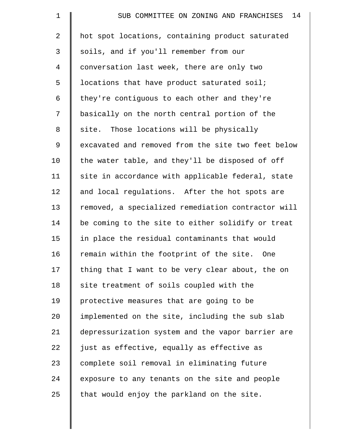| $\mathbf 1$ | 14<br>SUB COMMITTEE ON ZONING AND FRANCHISES       |
|-------------|----------------------------------------------------|
| 2           | hot spot locations, containing product saturated   |
| 3           | soils, and if you'll remember from our             |
| 4           | conversation last week, there are only two         |
| 5           | locations that have product saturated soil;        |
| 6           | they're contiguous to each other and they're       |
| 7           | basically on the north central portion of the      |
| 8           | site. Those locations will be physically           |
| 9           | excavated and removed from the site two feet below |
| 10          | the water table, and they'll be disposed of off    |
| 11          | site in accordance with applicable federal, state  |
| 12          | and local regulations. After the hot spots are     |
| 13          | removed, a specialized remediation contractor will |
| 14          | be coming to the site to either solidify or treat  |
| 15          | in place the residual contaminants that would      |
| 16          | remain within the footprint of the site. One       |
| 17          | thing that I want to be very clear about, the on   |
| 18          | site treatment of soils coupled with the           |
| 19          | protective measures that are going to be           |
| 20          | implemented on the site, including the sub slab    |
| 21          | depressurization system and the vapor barrier are  |
| 22          | just as effective, equally as effective as         |
| 23          | complete soil removal in eliminating future        |
| 24          | exposure to any tenants on the site and people     |
| 25          | that would enjoy the parkland on the site.         |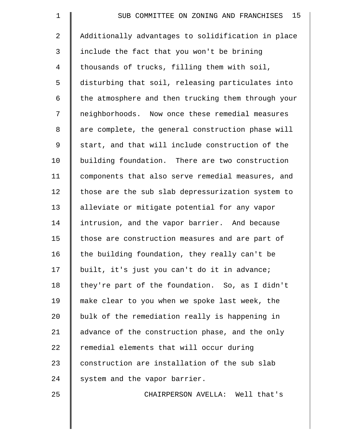| $\mathbf 1$ | 15<br>SUB COMMITTEE ON ZONING AND FRANCHISES       |
|-------------|----------------------------------------------------|
| 2           | Additionally advantages to solidification in place |
| 3           | include the fact that you won't be brining         |
| 4           | thousands of trucks, filling them with soil,       |
| 5           | disturbing that soil, releasing particulates into  |
| 6           | the atmosphere and then trucking them through your |
| 7           | neighborhoods. Now once these remedial measures    |
| 8           | are complete, the general construction phase will  |
| 9           | start, and that will include construction of the   |
| 10          | building foundation. There are two construction    |
| 11          | components that also serve remedial measures, and  |
| 12          | those are the sub slab depressurization system to  |
| 13          | alleviate or mitigate potential for any vapor      |
| 14          | intrusion, and the vapor barrier. And because      |
| 15          | those are construction measures and are part of    |
| 16          | the building foundation, they really can't be      |
| 17          | built, it's just you can't do it in advance;       |
| 18          | they're part of the foundation. So, as I didn't    |
| 19          | make clear to you when we spoke last week, the     |
| 20          | bulk of the remediation really is happening in     |
| 21          | advance of the construction phase, and the only    |
| 22          | remedial elements that will occur during           |
| 23          | construction are installation of the sub slab      |
| 24          | system and the vapor barrier.                      |
| 25          | CHAIRPERSON AVELLA: Well that's                    |
|             |                                                    |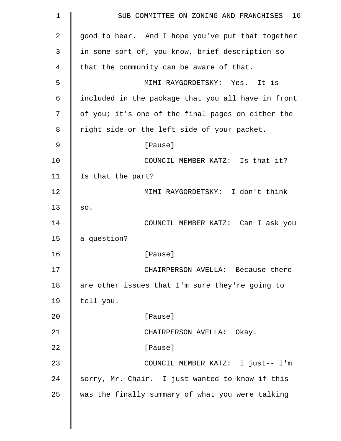| $\mathbf 1$ | 16<br>SUB COMMITTEE ON ZONING AND FRANCHISES       |
|-------------|----------------------------------------------------|
| 2           | good to hear. And I hope you've put that together  |
| 3           | in some sort of, you know, brief description so    |
| 4           | that the community can be aware of that.           |
| 5           | MIMI RAYGORDETSKY: Yes. It is                      |
| 6           | included in the package that you all have in front |
| 7           | of you; it's one of the final pages on either the  |
| 8           | right side or the left side of your packet.        |
| 9           | [Pause]                                            |
| 10          | COUNCIL MEMBER KATZ: Is that it?                   |
| 11          | Is that the part?                                  |
| 12          | MIMI RAYGORDETSKY: I don't think                   |
| 13          | SO.                                                |
| 14          | COUNCIL MEMBER KATZ: Can I ask you                 |
| 15          | a question?                                        |
| 16          | [Pause]                                            |
| 17          | CHAIRPERSON AVELLA: Because there                  |
| 18          | are other issues that I'm sure they're going to    |
| 19          | tell you.                                          |
| 20          | [Pause]                                            |
| 21          | CHAIRPERSON AVELLA: Okay.                          |
| 22          | [Pause]                                            |
| 23          | COUNCIL MEMBER KATZ: I just-- I'm                  |
| 24          | sorry, Mr. Chair. I just wanted to know if this    |
| 25          | was the finally summary of what you were talking   |
|             |                                                    |

 $\parallel$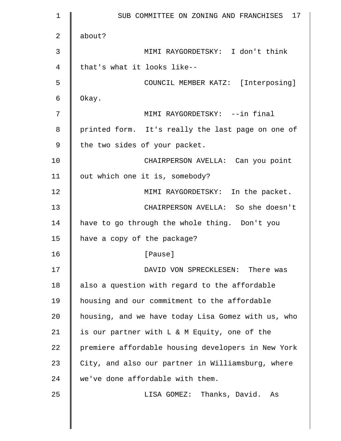| $\mathbf 1$ | 17<br>SUB COMMITTEE ON ZONING AND FRANCHISES       |
|-------------|----------------------------------------------------|
| 2           | about?                                             |
| 3           | MIMI RAYGORDETSKY: I don't think                   |
| 4           | that's what it looks like--                        |
| 5           | COUNCIL MEMBER KATZ: [Interposing]                 |
| 6           | Okay.                                              |
| 7           | MIMI RAYGORDETSKY: --in final                      |
| 8           | printed form. It's really the last page on one of  |
| 9           | the two sides of your packet.                      |
| 10          | CHAIRPERSON AVELLA: Can you point                  |
| 11          | out which one it is, somebody?                     |
| 12          | MIMI RAYGORDETSKY: In the packet.                  |
| 13          | CHAIRPERSON AVELLA: So she doesn't                 |
| 14          | have to go through the whole thing. Don't you      |
| 15          | have a copy of the package?                        |
| 16          | [Pause]                                            |
| 17          | DAVID VON SPRECKLESEN: There was                   |
| 18          | also a question with regard to the affordable      |
| 19          | housing and our commitment to the affordable       |
| 20          | housing, and we have today Lisa Gomez with us, who |
| 21          | is our partner with L & M Equity, one of the       |
| 22          | premiere affordable housing developers in New York |
| 23          | City, and also our partner in Williamsburg, where  |
| 24          | we've done affordable with them.                   |
| 25          | LISA GOMEZ: Thanks, David. As                      |
|             |                                                    |
|             |                                                    |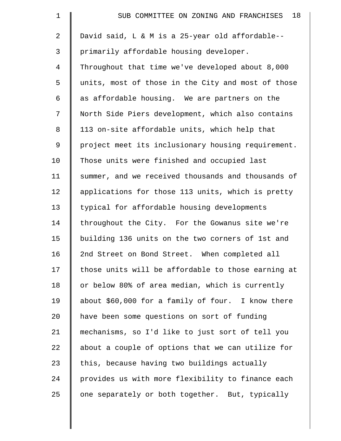| $\mathbf 1$    | 18<br>SUB COMMITTEE ON ZONING AND FRANCHISES       |
|----------------|----------------------------------------------------|
| $\overline{2}$ | David said, L & M is a 25-year old affordable--    |
| 3              | primarily affordable housing developer.            |
| $\overline{4}$ | Throughout that time we've developed about 8,000   |
| 5              | units, most of those in the City and most of those |
| 6              | as affordable housing. We are partners on the      |
| 7              | North Side Piers development, which also contains  |
| 8              | 113 on-site affordable units, which help that      |
| 9              | project meet its inclusionary housing requirement. |
| 10             | Those units were finished and occupied last        |
| 11             | summer, and we received thousands and thousands of |
| 12             | applications for those 113 units, which is pretty  |
| 13             | typical for affordable housing developments        |
| 14             | throughout the City. For the Gowanus site we're    |
| 15             | building 136 units on the two corners of 1st and   |
| 16             | 2nd Street on Bond Street. When completed all      |
| 17             | those units will be affordable to those earning at |
| 18             | or below 80% of area median, which is currently    |
| 19             | about \$60,000 for a family of four. I know there  |
| 20             | have been some questions on sort of funding        |
| 21             | mechanisms, so I'd like to just sort of tell you   |
| 22             | about a couple of options that we can utilize for  |
| 23             | this, because having two buildings actually        |
| 24             | provides us with more flexibility to finance each  |
| 25             | one separately or both together. But, typically    |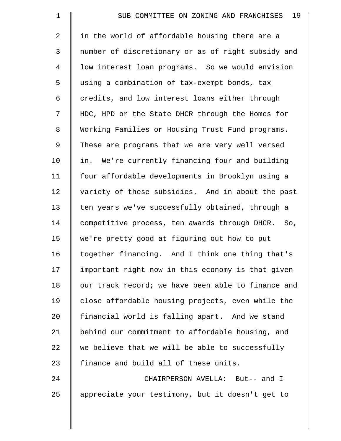| $\mathbf 1$    | 19<br>SUB COMMITTEE ON ZONING AND FRANCHISES       |
|----------------|----------------------------------------------------|
| $\overline{a}$ | in the world of affordable housing there are a     |
| $\mathsf{3}$   | number of discretionary or as of right subsidy and |
| $\overline{4}$ | low interest loan programs. So we would envision   |
| 5              | using a combination of tax-exempt bonds, tax       |
| 6              | credits, and low interest loans either through     |
| 7              | HDC, HPD or the State DHCR through the Homes for   |
| 8              | Working Families or Housing Trust Fund programs.   |
| 9              | These are programs that we are very well versed    |
| 10             | in. We're currently financing four and building    |
| 11             | four affordable developments in Brooklyn using a   |
| 12             | variety of these subsidies. And in about the past  |
| 13             | ten years we've successfully obtained, through a   |
| 14             | competitive process, ten awards through DHCR. So,  |
| 15             | we're pretty good at figuring out how to put       |
| 16             | together financing. And I think one thing that's   |
| 17             | important right now in this economy is that given  |
| 18             | our track record; we have been able to finance and |
| 19             | close affordable housing projects, even while the  |
| 20             | financial world is falling apart. And we stand     |
| 21             | behind our commitment to affordable housing, and   |
| 22             | we believe that we will be able to successfully    |
| 23             | finance and build all of these units.              |
| 24             | CHAIRPERSON AVELLA: But-- and I                    |
| 25             | appreciate your testimony, but it doesn't get to   |
|                |                                                    |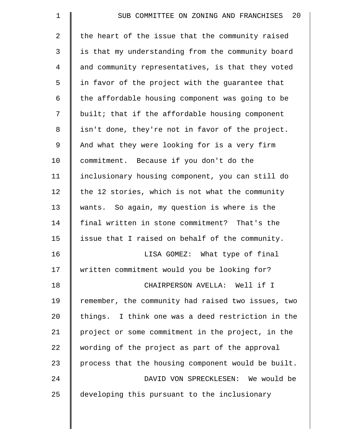| $\mathbf 1$ | 20<br>SUB COMMITTEE ON ZONING AND FRANCHISES       |
|-------------|----------------------------------------------------|
| 2           | the heart of the issue that the community raised   |
| 3           | is that my understanding from the community board  |
| 4           | and community representatives, is that they voted  |
| 5           | in favor of the project with the guarantee that    |
| 6           | the affordable housing component was going to be   |
| 7           | built; that if the affordable housing component    |
| 8           | isn't done, they're not in favor of the project.   |
| 9           | And what they were looking for is a very firm      |
| 10          | commitment. Because if you don't do the            |
| 11          | inclusionary housing component, you can still do   |
| 12          | the 12 stories, which is not what the community    |
| 13          | wants. So again, my question is where is the       |
| 14          | final written in stone commitment? That's the      |
| 15          | issue that I raised on behalf of the community.    |
| 16          | LISA GOMEZ: What type of final                     |
| 17          | written commitment would you be looking for?       |
| 18          | CHAIRPERSON AVELLA: Well if I                      |
| 19          | remember, the community had raised two issues, two |
| 20          | things. I think one was a deed restriction in the  |
| 21          | project or some commitment in the project, in the  |
| 22          | wording of the project as part of the approval     |
| 23          | process that the housing component would be built. |
| 24          | DAVID VON SPRECKLESEN: We would be                 |
| 25          | developing this pursuant to the inclusionary       |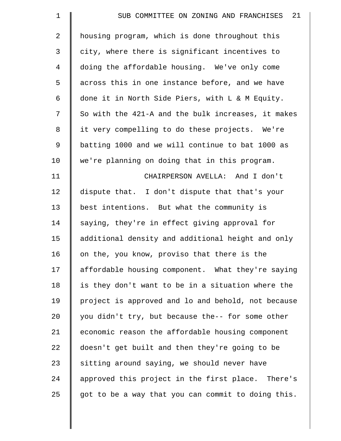| $\mathbf 1$    | 21<br>SUB COMMITTEE ON ZONING AND FRANCHISES       |
|----------------|----------------------------------------------------|
| $\overline{2}$ | housing program, which is done throughout this     |
| 3              | city, where there is significant incentives to     |
| $\overline{4}$ | doing the affordable housing. We've only come      |
| 5              | across this in one instance before, and we have    |
| 6              | done it in North Side Piers, with L & M Equity.    |
| 7              | So with the 421-A and the bulk increases, it makes |
| 8              | it very compelling to do these projects. We're     |
| 9              | batting 1000 and we will continue to bat 1000 as   |
| 10             | we're planning on doing that in this program.      |
| 11             | CHAIRPERSON AVELLA: And I don't                    |
| 12             | dispute that. I don't dispute that that's your     |
| 13             | best intentions. But what the community is         |
| 14             | saying, they're in effect giving approval for      |
| 15             | additional density and additional height and only  |
| 16             | on the, you know, proviso that there is the        |
| 17             | affordable housing component. What they're saying  |
| 18             | is they don't want to be in a situation where the  |
| 19             | project is approved and lo and behold, not because |
| 20             | you didn't try, but because the-- for some other   |
| 21             | economic reason the affordable housing component   |
| 22             | doesn't get built and then they're going to be     |
| 23             | sitting around saying, we should never have        |
| 24             | approved this project in the first place. There's  |
| 25             | got to be a way that you can commit to doing this. |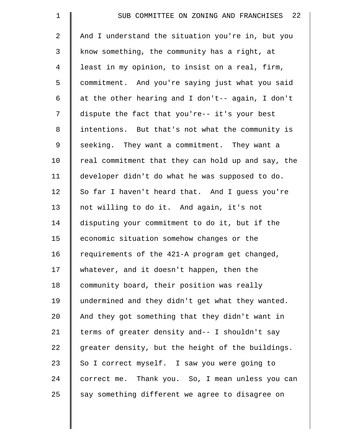| $\mathbf 1$    | SUB COMMITTEE ON ZONING AND FRANCHISES 22          |
|----------------|----------------------------------------------------|
| $\overline{2}$ | And I understand the situation you're in, but you  |
| 3              | know something, the community has a right, at      |
| $\overline{4}$ | least in my opinion, to insist on a real, firm,    |
| 5              | commitment. And you're saying just what you said   |
| 6              | at the other hearing and I don't-- again, I don't  |
| 7              | dispute the fact that you're-- it's your best      |
| 8              | intentions. But that's not what the community is   |
| 9              | seeking. They want a commitment. They want a       |
| 10             | real commitment that they can hold up and say, the |
| 11             | developer didn't do what he was supposed to do.    |
| 12             | So far I haven't heard that. And I guess you're    |
| 13             | not willing to do it. And again, it's not          |
| 14             | disputing your commitment to do it, but if the     |
| 15             | economic situation somehow changes or the          |
| 16             | requirements of the 421-A program get changed,     |
| 17             | whatever, and it doesn't happen, then the          |
| 18             | community board, their position was really         |
| 19             | undermined and they didn't get what they wanted.   |
| 20             | And they got something that they didn't want in    |
| 21             | terms of greater density and-- I shouldn't say     |
| 22             | greater density, but the height of the buildings.  |
| 23             | So I correct myself. I saw you were going to       |
| 24             | correct me. Thank you. So, I mean unless you can   |
| 25             | say something different we agree to disagree on    |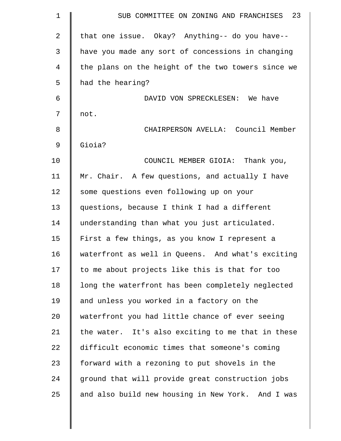| $\mathbf 1$ | SUB COMMITTEE ON ZONING AND FRANCHISES 23          |
|-------------|----------------------------------------------------|
| 2           | that one issue. Okay? Anything-- do you have--     |
| 3           | have you made any sort of concessions in changing  |
| 4           | the plans on the height of the two towers since we |
| 5           | had the hearing?                                   |
| 6           | DAVID VON SPRECKLESEN: We have                     |
| 7           | not.                                               |
| 8           | CHAIRPERSON AVELLA: Council Member                 |
| 9           | Gioia?                                             |
| 10          | COUNCIL MEMBER GIOIA: Thank you,                   |
| 11          | Mr. Chair. A few questions, and actually I have    |
| 12          | some questions even following up on your           |
| 13          | questions, because I think I had a different       |
| 14          | understanding than what you just articulated.      |
| 15          | First a few things, as you know I represent a      |
| 16          | waterfront as well in Queens. And what's exciting  |
| 17          | to me about projects like this is that for too     |
| 18          | long the waterfront has been completely neglected  |
| 19          | and unless you worked in a factory on the          |
| 20          | waterfront you had little chance of ever seeing    |
| 21          | the water. It's also exciting to me that in these  |
| 22          | difficult economic times that someone's coming     |
| 23          | forward with a rezoning to put shovels in the      |
| 24          | ground that will provide great construction jobs   |
| 25          | and also build new housing in New York. And I was  |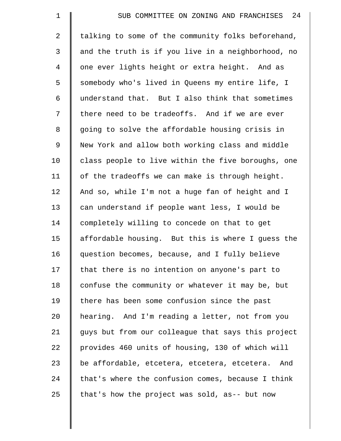| $\mathbf 1$    | 24<br>SUB COMMITTEE ON ZONING AND FRANCHISES       |
|----------------|----------------------------------------------------|
| $\overline{a}$ | talking to some of the community folks beforehand, |
| 3              | and the truth is if you live in a neighborhood, no |
| $\overline{4}$ | one ever lights height or extra height. And as     |
| 5              | somebody who's lived in Queens my entire life, I   |
| 6              | understand that. But I also think that sometimes   |
| 7              | there need to be tradeoffs. And if we are ever     |
| $\,8\,$        | going to solve the affordable housing crisis in    |
| 9              | New York and allow both working class and middle   |
| 10             | class people to live within the five boroughs, one |
| 11             | of the tradeoffs we can make is through height.    |
| 12             | And so, while I'm not a huge fan of height and I   |
| 13             | can understand if people want less, I would be     |
| 14             | completely willing to concede on that to get       |
| 15             | affordable housing. But this is where I guess the  |
| 16             | question becomes, because, and I fully believe     |
| 17             | that there is no intention on anyone's part to     |
| 18             | confuse the community or whatever it may be, but   |
| 19             | there has been some confusion since the past       |
| 20             | hearing. And I'm reading a letter, not from you    |
| 21             | guys but from our colleague that says this project |
| 22             | provides 460 units of housing, 130 of which will   |
| 23             | be affordable, etcetera, etcetera, etcetera. And   |
| 24             | that's where the confusion comes, because I think  |
| 25             | that's how the project was sold, as-- but now      |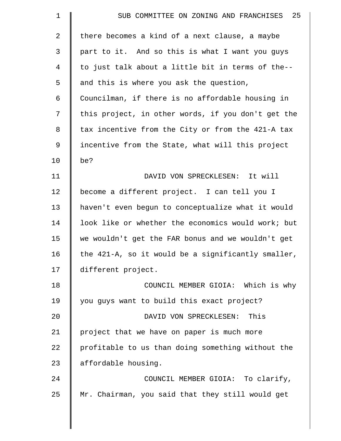| $\mathbf 1$    | 25<br>SUB COMMITTEE ON ZONING AND FRANCHISES       |
|----------------|----------------------------------------------------|
| 2              | there becomes a kind of a next clause, a maybe     |
| 3              | part to it. And so this is what I want you guys    |
| $\overline{4}$ | to just talk about a little bit in terms of the--  |
| 5              | and this is where you ask the question,            |
| 6              | Councilman, if there is no affordable housing in   |
| 7              | this project, in other words, if you don't get the |
| 8              | tax incentive from the City or from the 421-A tax  |
| 9              | incentive from the State, what will this project   |
| 10             | be?                                                |
| 11             | DAVID VON SPRECKLESEN: It will                     |
| 12             | become a different project. I can tell you I       |
| 13             | haven't even begun to conceptualize what it would  |
| 14             | look like or whether the economics would work; but |
| 15             | we wouldn't get the FAR bonus and we wouldn't get  |
| 16             | the 421-A, so it would be a significantly smaller, |
| 17             | different project.                                 |
| 18             | COUNCIL MEMBER GIOIA: Which is why                 |
| 19             | you guys want to build this exact project?         |
| 20             | DAVID VON SPRECKLESEN: This                        |
| 21             | project that we have on paper is much more         |
| 22             | profitable to us than doing something without the  |
| 23             | affordable housing.                                |
| 24             | COUNCIL MEMBER GIOIA: To clarify,                  |
| 25             | Mr. Chairman, you said that they still would get   |
|                |                                                    |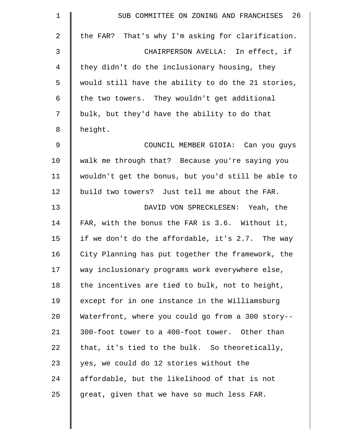| $\mathbf 1$ | SUB COMMITTEE ON ZONING AND FRANCHISES 26          |
|-------------|----------------------------------------------------|
| 2           | the FAR? That's why I'm asking for clarification.  |
| 3           | CHAIRPERSON AVELLA: In effect, if                  |
| 4           | they didn't do the inclusionary housing, they      |
| 5           | would still have the ability to do the 21 stories, |
| 6           | the two towers. They wouldn't get additional       |
| 7           | bulk, but they'd have the ability to do that       |
| 8           | height.                                            |
| 9           | COUNCIL MEMBER GIOIA: Can you guys                 |
| 10          | walk me through that? Because you're saying you    |
| 11          | wouldn't get the bonus, but you'd still be able to |
| 12          | build two towers? Just tell me about the FAR.      |
| 13          | DAVID VON SPRECKLESEN: Yeah, the                   |
| 14          | FAR, with the bonus the FAR is 3.6. Without it,    |
| 15          | if we don't do the affordable, it's 2.7. The way   |
| 16          | City Planning has put together the framework, the  |
| 17          | way inclusionary programs work everywhere else,    |
| 18          | the incentives are tied to bulk, not to height,    |
| 19          | except for in one instance in the Williamsburg     |
| 20          | Waterfront, where you could go from a 300 story--  |
| 21          | 300-foot tower to a 400-foot tower. Other than     |
| 22          | that, it's tied to the bulk. So theoretically,     |
| 23          | yes, we could do 12 stories without the            |
| 24          | affordable, but the likelihood of that is not      |
| 25          | great, given that we have so much less FAR.        |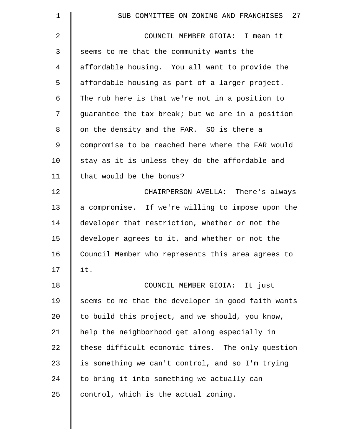| 1  | 27<br>SUB COMMITTEE ON ZONING AND FRANCHISES       |
|----|----------------------------------------------------|
| 2  | COUNCIL MEMBER GIOIA: I mean it                    |
| 3  | seems to me that the community wants the           |
| 4  | affordable housing. You all want to provide the    |
| 5  | affordable housing as part of a larger project.    |
| 6  | The rub here is that we're not in a position to    |
| 7  | guarantee the tax break; but we are in a position  |
| 8  | on the density and the FAR. SO is there a          |
| 9  | compromise to be reached here where the FAR would  |
| 10 | stay as it is unless they do the affordable and    |
| 11 | that would be the bonus?                           |
| 12 | CHAIRPERSON AVELLA: There's always                 |
| 13 | a compromise. If we're willing to impose upon the  |
| 14 | developer that restriction, whether or not the     |
| 15 | developer agrees to it, and whether or not the     |
| 16 | Council Member who represents this area agrees to  |
| 17 | it.                                                |
| 18 | COUNCIL MEMBER GIOIA: It just                      |
| 19 | seems to me that the developer in good faith wants |
| 20 | to build this project, and we should, you know,    |
| 21 | help the neighborhood get along especially in      |
| 22 | these difficult economic times. The only question  |
| 23 | is something we can't control, and so I'm trying   |
| 24 | to bring it into something we actually can         |
| 25 | control, which is the actual zoning.               |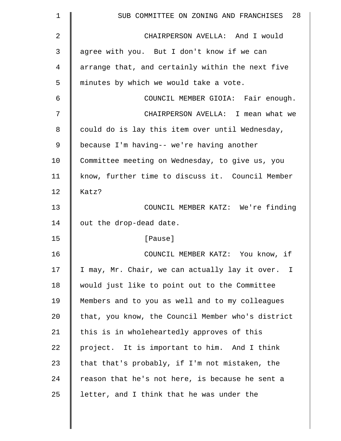| $\mathbf 1$ | SUB COMMITTEE ON ZONING AND FRANCHISES 28         |
|-------------|---------------------------------------------------|
| 2           | CHAIRPERSON AVELLA: And I would                   |
| 3           | agree with you. But I don't know if we can        |
| 4           | arrange that, and certainly within the next five  |
| 5           | minutes by which we would take a vote.            |
| 6           | COUNCIL MEMBER GIOIA: Fair enough.                |
| 7           | CHAIRPERSON AVELLA: I mean what we                |
| 8           | could do is lay this item over until Wednesday,   |
| 9           | because I'm having-- we're having another         |
| 10          | Committee meeting on Wednesday, to give us, you   |
| 11          | know, further time to discuss it. Council Member  |
| 12          | Katz?                                             |
| 13          | COUNCIL MEMBER KATZ: We're finding                |
| 14          | out the drop-dead date.                           |
| 15          | [Pause]                                           |
| 16          | COUNCIL MEMBER KATZ: You know, if                 |
| 17          | I may, Mr. Chair, we can actually lay it over. I  |
| 18          | would just like to point out to the Committee     |
| 19          | Members and to you as well and to my colleagues   |
| 20          | that, you know, the Council Member who's district |
| 21          | this is in wholeheartedly approves of this        |
| 22          | project. It is important to him. And I think      |
| 23          | that that's probably, if I'm not mistaken, the    |
| 24          | reason that he's not here, is because he sent a   |
| 25          | letter, and I think that he was under the         |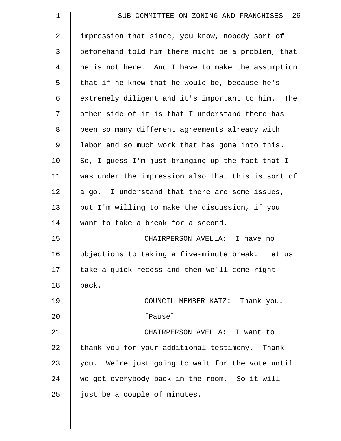| $\mathbf 1$ | 29<br>SUB COMMITTEE ON ZONING AND FRANCHISES       |
|-------------|----------------------------------------------------|
| 2           | impression that since, you know, nobody sort of    |
| 3           | beforehand told him there might be a problem, that |
| 4           | he is not here. And I have to make the assumption  |
| 5           | that if he knew that he would be, because he's     |
| 6           | extremely diligent and it's important to him. The  |
| 7           | other side of it is that I understand there has    |
| 8           | been so many different agreements already with     |
| 9           | labor and so much work that has gone into this.    |
| 10          | So, I guess I'm just bringing up the fact that I   |
| 11          | was under the impression also that this is sort of |
| 12          | a go. I understand that there are some issues,     |
| 13          | but I'm willing to make the discussion, if you     |
| 14          | want to take a break for a second.                 |
| 15          | CHAIRPERSON AVELLA: I have no                      |
| 16          | objections to taking a five-minute break. Let us   |
| 17          | take a quick recess and then we'll come right      |
| 18          | back.                                              |
| 19          | COUNCIL MEMBER KATZ: Thank you.                    |
| 20          | [Pause]                                            |
| 21          | CHAIRPERSON AVELLA: I want to                      |
| 22          | thank you for your additional testimony. Thank     |
| 23          | you. We're just going to wait for the vote until   |
| 24          | we get everybody back in the room. So it will      |
| 25          | just be a couple of minutes.                       |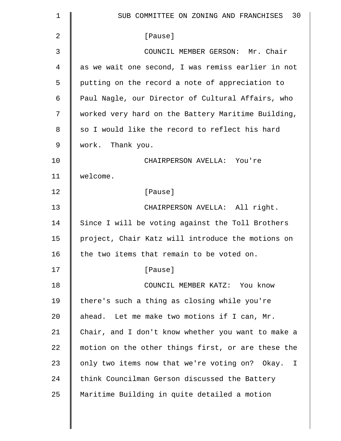| $\mathbf 1$    | SUB COMMITTEE ON ZONING AND FRANCHISES 30                     |
|----------------|---------------------------------------------------------------|
| $\overline{2}$ | [Pause]                                                       |
| 3              | COUNCIL MEMBER GERSON: Mr. Chair                              |
| 4              | as we wait one second, I was remiss earlier in not            |
| 5              | putting on the record a note of appreciation to               |
| 6              | Paul Nagle, our Director of Cultural Affairs, who             |
| 7              | worked very hard on the Battery Maritime Building,            |
| 8              | so I would like the record to reflect his hard                |
| 9              | work. Thank you.                                              |
| 10             | CHAIRPERSON AVELLA: You're                                    |
| 11             | welcome.                                                      |
| 12             | [Pause]                                                       |
| 13             | CHAIRPERSON AVELLA: All right.                                |
| 14             | Since I will be voting against the Toll Brothers              |
| 15             | project, Chair Katz will introduce the motions on             |
| 16             | the two items that remain to be voted on.                     |
| 17             | [Pause]                                                       |
| 18             | COUNCIL MEMBER KATZ: You know                                 |
| 19             | there's such a thing as closing while you're                  |
| 20             | ahead. Let me make two motions if I can, Mr.                  |
| 21             | Chair, and I don't know whether you want to make a            |
| 22             | motion on the other things first, or are these the            |
| 23             | only two items now that we're voting on? Okay.<br>$\mathbf I$ |
| 24             | think Councilman Gerson discussed the Battery                 |
| 25             | Maritime Building in quite detailed a motion                  |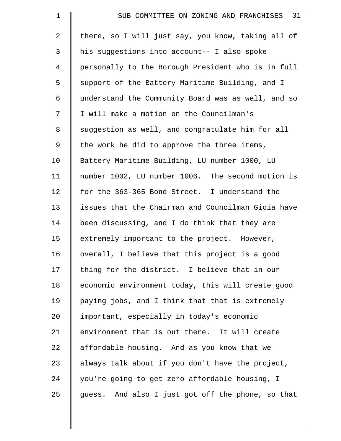| $\mathbf 1$    | SUB COMMITTEE ON ZONING AND FRANCHISES 31          |
|----------------|----------------------------------------------------|
| $\overline{a}$ | there, so I will just say, you know, taking all of |
| 3              | his suggestions into account-- I also spoke        |
| $\overline{4}$ | personally to the Borough President who is in full |
| 5              | support of the Battery Maritime Building, and I    |
| 6              | understand the Community Board was as well, and so |
| 7              | I will make a motion on the Councilman's           |
| 8              | suggestion as well, and congratulate him for all   |
| 9              | the work he did to approve the three items,        |
| 10             | Battery Maritime Building, LU number 1000, LU      |
| 11             | number 1002, LU number 1006. The second motion is  |
| 12             | for the 363-365 Bond Street. I understand the      |
| 13             | issues that the Chairman and Councilman Gioia have |
| 14             | been discussing, and I do think that they are      |
| 15             | extremely important to the project. However,       |
| 16             | overall, I believe that this project is a good     |
| 17             | thing for the district. I believe that in our      |
| 18             | economic environment today, this will create good  |
| 19             | paying jobs, and I think that that is extremely    |
| 20             | important, especially in today's economic          |
| 21             | environment that is out there. It will create      |
| 22             | affordable housing. And as you know that we        |
| 23             | always talk about if you don't have the project,   |
| 24             | you're going to get zero affordable housing, I     |
| 25             | guess. And also I just got off the phone, so that  |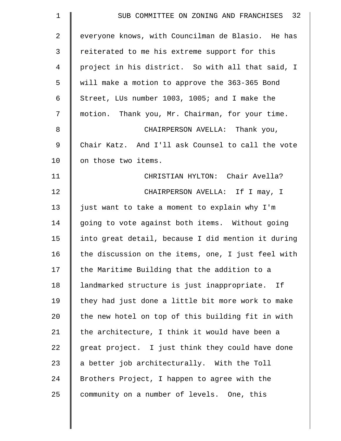| $\mathbf 1$    | SUB COMMITTEE ON ZONING AND FRANCHISES 32          |
|----------------|----------------------------------------------------|
| $\overline{2}$ | everyone knows, with Councilman de Blasio. He has  |
| 3              | reiterated to me his extreme support for this      |
| $\overline{4}$ | project in his district. So with all that said, I  |
| 5              | will make a motion to approve the 363-365 Bond     |
| 6              | Street, LUs number 1003, 1005; and I make the      |
| 7              | motion. Thank you, Mr. Chairman, for your time.    |
| 8              | CHAIRPERSON AVELLA: Thank you,                     |
| 9              | Chair Katz. And I'll ask Counsel to call the vote  |
| 10             | on those two items.                                |
| 11             | CHRISTIAN HYLTON: Chair Avella?                    |
| 12             | CHAIRPERSON AVELLA: If I may, I                    |
| 13             | just want to take a moment to explain why I'm      |
| 14             | going to vote against both items. Without going    |
| 15             | into great detail, because I did mention it during |
| 16             | the discussion on the items, one, I just feel with |
| 17             | the Maritime Building that the addition to a       |
| 18             | landmarked structure is just inappropriate. If     |
| 19             | they had just done a little bit more work to make  |
| 20             | the new hotel on top of this building fit in with  |
| 21             | the architecture, I think it would have been a     |
| 22             | great project. I just think they could have done   |
| 23             | a better job architecturally. With the Toll        |
| 24             | Brothers Project, I happen to agree with the       |
| 25             | community on a number of levels. One, this         |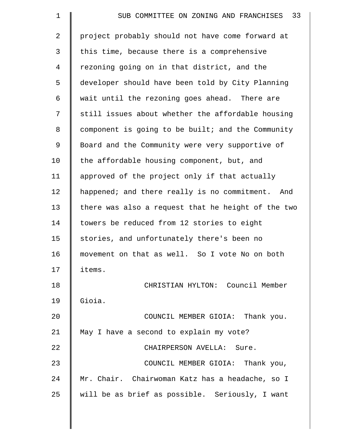| $\mathbf 1$    | SUB COMMITTEE ON ZONING AND FRANCHISES 33          |
|----------------|----------------------------------------------------|
| $\overline{2}$ | project probably should not have come forward at   |
| 3              | this time, because there is a comprehensive        |
| 4              | rezoning going on in that district, and the        |
| 5              | developer should have been told by City Planning   |
| 6              | wait until the rezoning goes ahead. There are      |
| 7              | still issues about whether the affordable housing  |
| 8              | component is going to be built; and the Community  |
| 9              | Board and the Community were very supportive of    |
| 10             | the affordable housing component, but, and         |
| 11             | approved of the project only if that actually      |
| 12             | happened; and there really is no commitment. And   |
| 13             | there was also a request that he height of the two |
| 14             | towers be reduced from 12 stories to eight         |
| 15             | stories, and unfortunately there's been no         |
| 16             | movement on that as well. So I vote No on both     |
| 17             | items.                                             |
| 18             | CHRISTIAN HYLTON: Council Member                   |
| 19             | Gioia.                                             |
| 20             | COUNCIL MEMBER GIOIA: Thank you.                   |
| 21             | May I have a second to explain my vote?            |
| 22             | CHAIRPERSON AVELLA: Sure.                          |
| 23             | COUNCIL MEMBER GIOIA: Thank you,                   |
| 24             | Mr. Chair. Chairwoman Katz has a headache, so I    |
| 25             | will be as brief as possible. Seriously, I want    |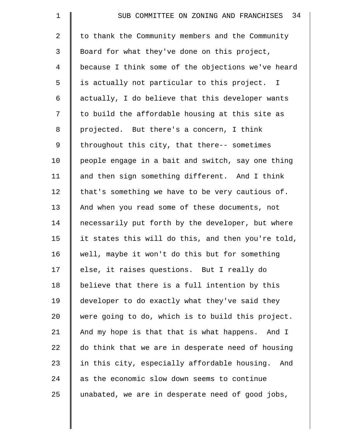| $\mathbf 1$    | SUB COMMITTEE ON ZONING AND FRANCHISES 34          |
|----------------|----------------------------------------------------|
| $\overline{2}$ | to thank the Community members and the Community   |
| 3              | Board for what they've done on this project,       |
| 4              | because I think some of the objections we've heard |
| 5              | is actually not particular to this project. I      |
| 6              | actually, I do believe that this developer wants   |
| 7              | to build the affordable housing at this site as    |
| 8              | projected. But there's a concern, I think          |
| 9              | throughout this city, that there-- sometimes       |
| 10             | people engage in a bait and switch, say one thing  |
| 11             | and then sign something different. And I think     |
| 12             | that's something we have to be very cautious of.   |
| 13             | And when you read some of these documents, not     |
| 14             | necessarily put forth by the developer, but where  |
| 15             | it states this will do this, and then you're told, |
| 16             | well, maybe it won't do this but for something     |
| 17             | else, it raises questions. But I really do         |
| 18             | believe that there is a full intention by this     |
| 19             | developer to do exactly what they've said they     |
| 20             | were going to do, which is to build this project.  |
| 21             | And my hope is that that is what happens. And I    |
| 22             | do think that we are in desperate need of housing  |
| 23             | in this city, especially affordable housing. And   |
| 24             | as the economic slow down seems to continue        |
| 25             | unabated, we are in desperate need of good jobs,   |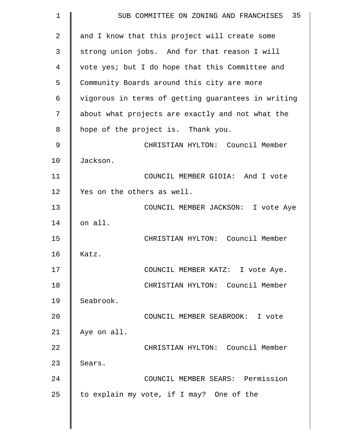| $\mathbf 1$ | SUB COMMITTEE ON ZONING AND FRANCHISES 35          |
|-------------|----------------------------------------------------|
| 2           | and I know that this project will create some      |
| 3           | strong union jobs. And for that reason I will      |
| 4           | vote yes; but I do hope that this Committee and    |
| 5           | Community Boards around this city are more         |
| 6           | vigorous in terms of getting guarantees in writing |
| 7           | about what projects are exactly and not what the   |
| 8           | hope of the project is. Thank you.                 |
| 9           | CHRISTIAN HYLTON: Council Member                   |
| 10          | Jackson.                                           |
| 11          | COUNCIL MEMBER GIOIA: And I vote                   |
| 12          | Yes on the others as well.                         |
| 13          | COUNCIL MEMBER JACKSON: I vote Aye                 |
| 14          | on all.                                            |
| 15          | CHRISTIAN HYLTON: Council Member                   |
| 16          | Katz.                                              |
| 17          | COUNCIL MEMBER KATZ: I vote Aye.                   |
| 18          | CHRISTIAN HYLTON: Council Member                   |
| 19          | Seabrook.                                          |
| 20          | COUNCIL MEMBER SEABROOK: I vote                    |
| 21          | Aye on all.                                        |
| 22          | CHRISTIAN HYLTON: Council Member                   |
| 23          | Sears.                                             |
| 24          | COUNCIL MEMBER SEARS: Permission                   |
| 25          | to explain my vote, if I may? One of the           |
|             |                                                    |

 $\parallel$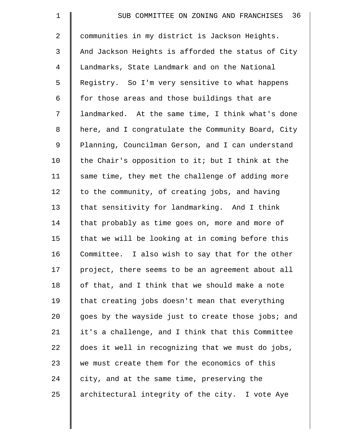| $\mathbf 1$    | 36<br>SUB COMMITTEE ON ZONING AND FRANCHISES       |
|----------------|----------------------------------------------------|
| $\overline{2}$ | communities in my district is Jackson Heights.     |
| 3              | And Jackson Heights is afforded the status of City |
| 4              | Landmarks, State Landmark and on the National      |
| 5              | Registry. So I'm very sensitive to what happens    |
| 6              | for those areas and those buildings that are       |
| 7              | landmarked. At the same time, I think what's done  |
| 8              | here, and I congratulate the Community Board, City |
| 9              | Planning, Councilman Gerson, and I can understand  |
| 10             | the Chair's opposition to it; but I think at the   |
| 11             | same time, they met the challenge of adding more   |
| 12             | to the community, of creating jobs, and having     |
| 13             | that sensitivity for landmarking. And I think      |
| 14             | that probably as time goes on, more and more of    |
| 15             | that we will be looking at in coming before this   |
| 16             | Committee. I also wish to say that for the other   |
| 17             | project, there seems to be an agreement about all  |
| 18             | of that, and I think that we should make a note    |
| 19             | that creating jobs doesn't mean that everything    |
| 20             | goes by the wayside just to create those jobs; and |
| 21             | it's a challenge, and I think that this Committee  |
| 22             | does it well in recognizing that we must do jobs,  |
| 23             | we must create them for the economics of this      |
| 24             | city, and at the same time, preserving the         |
| 25             | architectural integrity of the city. I vote Aye    |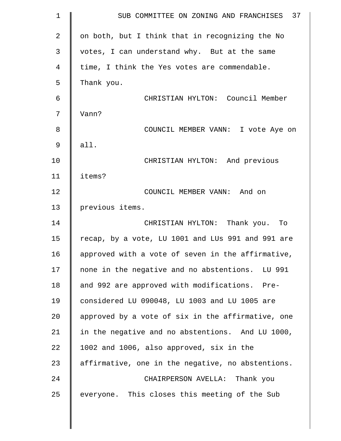| $\mathbf 1$    | SUB COMMITTEE ON ZONING AND FRANCHISES 37         |
|----------------|---------------------------------------------------|
| $\overline{a}$ | on both, but I think that in recognizing the No   |
| 3              | votes, I can understand why. But at the same      |
| 4              | time, I think the Yes votes are commendable.      |
| 5              | Thank you.                                        |
| 6              | CHRISTIAN HYLTON: Council Member                  |
| 7              | Vann?                                             |
| 8              | COUNCIL MEMBER VANN: I vote Aye on                |
| $\mathsf 9$    | all.                                              |
| 10             | CHRISTIAN HYLTON: And previous                    |
| 11             | items?                                            |
| 12             | COUNCIL MEMBER VANN: And on                       |
| 13             | previous items.                                   |
| 14             | CHRISTIAN HYLTON: Thank you. To                   |
| 15             | recap, by a vote, LU 1001 and LUs 991 and 991 are |
| 16             | approved with a vote of seven in the affirmative, |
| 17             | none in the negative and no abstentions. LU 991   |
| 18             | and 992 are approved with modifications. Pre-     |
| 19             | considered LU 090048, LU 1003 and LU 1005 are     |
| 20             | approved by a vote of six in the affirmative, one |
| 21             | in the negative and no abstentions. And LU 1000,  |
| 22             | 1002 and 1006, also approved, six in the          |
| 23             | affirmative, one in the negative, no abstentions. |
| 24             | CHAIRPERSON AVELLA: Thank you                     |
| 25             | everyone. This closes this meeting of the Sub     |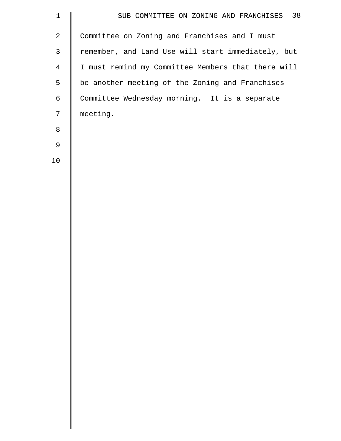| $1\,$          | SUB COMMITTEE ON ZONING AND FRANCHISES 38          |
|----------------|----------------------------------------------------|
| $\overline{2}$ | Committee on Zoning and Franchises and I must      |
| $\mathsf{3}$   | remember, and Land Use will start immediately, but |
| $\overline{4}$ | I must remind my Committee Members that there will |
| 5              | be another meeting of the Zoning and Franchises    |
| 6              | Committee Wednesday morning. It is a separate      |
| 7              | meeting.                                           |
| 8              |                                                    |
| 9              |                                                    |
| 10             |                                                    |
|                |                                                    |
|                |                                                    |
|                |                                                    |
|                |                                                    |
|                |                                                    |
|                |                                                    |
|                |                                                    |
|                |                                                    |
|                |                                                    |
|                |                                                    |
|                |                                                    |
|                |                                                    |
|                |                                                    |
|                |                                                    |
|                |                                                    |
|                |                                                    |